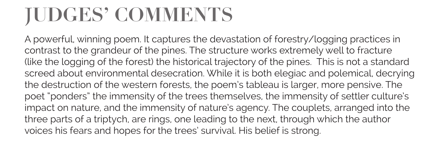# **JUDGES' COMMENTS**

A powerful, winning poem. It captures the devastation of forestry/logging practices in contrast to the grandeur of the pines. The structure works extremely well to fracture (like the logging of the forest) the historical trajectory of the pines. This is not a standard screed about environmental desecration. While it is both elegiac and polemical, decrying the destruction of the western forests, the poem's tableau is larger, more pensive. The poet "ponders" the immensity of the trees themselves, the immensity of settler culture's impact on nature, and the immensity of nature's agency. The couplets, arranged into the three parts of a triptych, are rings, one leading to the next, through which the author voices his fears and hopes for the trees' survival. His belief is strong.